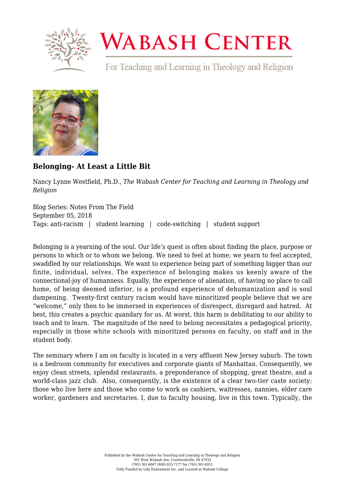

## **WABASH CENTER**

For Teaching and Learning in Theology and Religion



## **[Belonging- At Least a Little Bit](https://www.wabashcenter.wabash.edu/2018/09/belonging-at-least-a-little-bit/)**

Nancy Lynne Westfield, Ph.D., *The Wabash Center for Teaching and Learning in Theology and Religion*

Blog Series: Notes From The Field September 05, 2018 Tags: anti-racism | student learning | code-switching | student support

Belonging is a yearning of the soul. Our life's quest is often about finding the place, purpose or persons to which or to whom we belong. We need to feel at home; we yearn to feel accepted, swaddled by our relationships. We want to experience being part of something bigger than our finite, individual, selves. The experience of belonging makes us keenly aware of the connectional-joy of humanness. Equally, the experience of alienation, of having no place to call home, of being deemed inferior, is a profound experience of dehumanization and is soul dampening. Twenty-first century racism would have minoritized people believe that we are "welcome," only then to be immersed in experiences of disrespect, disregard and hatred. At best, this creates a psychic quandary for us. At worst, this harm is debilitating to our ability to teach and to learn. The magnitude of the need to belong necessitates a pedagogical priority, especially in those white schools with minoritized persons on faculty, on staff and in the student body.

The seminary where I am on faculty is located in a very affluent New Jersey suburb. The town is a bedroom community for executives and corporate giants of Manhattan. Consequently, we enjoy clean streets, splendid restaurants, a preponderance of shopping, great theatre, and a world-class jazz club. Also, consequently, is the existence of a clear two-tier caste society: those who live here and those who come to work as cashiers, waitresses, nannies, elder care worker, gardeners and secretaries. I, due to faculty housing, live in this town. Typically, the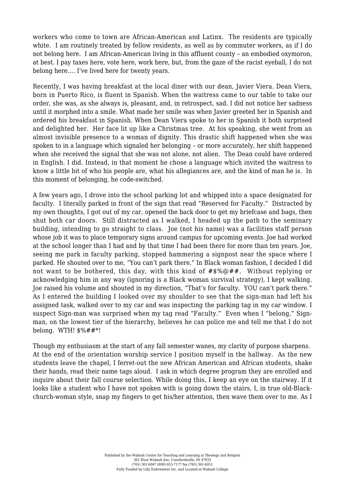workers who come to town are African-American and Latinx. The residents are typically white. I am routinely treated by fellow residents, as well as by commuter workers, as if I do not belong here. I am African-American living in this affluent county – an embodied oxymoron, at best. I pay taxes here, vote here, work here, but, from the gaze of the racist eyeball, I do not belong here…. I've lived here for twenty years.

Recently, I was having breakfast at the local diner with our dean, Javier Viera. Dean Viera, born in Puerto Rico, is fluent in Spanish. When the waitress came to our table to take our order, she was, as she always is, pleasant, and, in retrospect, sad. I did not notice her sadness until it morphed into a smile. What made her smile was when Javier greeted her in Spanish and ordered his breakfast in Spanish. When Dean Viera spoke to her in Spanish it both surprised and delighted her. Her face lit up like a Christmas tree. At his speaking, she went from an almost invisible presence to a woman of dignity. This drastic shift happened when she was spoken to in a language which signaled her belonging – or more accurately, her shift happened when she received the signal that she was not alone, not alien. The Dean could have ordered in English. I did. Instead, in that moment he chose a language which invited the waitress to know a little bit of who his people are, what his allegiances are, and the kind of man he is. In this moment of belonging, he code-switched.

A few years ago, I drove into the school parking lot and whipped into a space designated for faculty. I literally parked in front of the sign that read "Reserved for Faculty." Distracted by my own thoughts, I got out of my car, opened the back door to get my briefcase and bags, then shut both car doors. Still distracted as I walked, I headed up the path to the seminary building, intending to go straight to class. Joe (not his name) was a facilities staff person whose job it was to place temporary signs around campus for upcoming events. Joe had worked at the school longer than I had and by that time I had been there for more than ten years. Joe, seeing me park in faculty parking, stopped hammering a signpost near the space where I parked. He shouted over to me, "You can't park there." In Black woman fashion, I decided I did not want to be bothered, this day, with this kind of #\$%@##. Without replying or acknowledging him in any way (ignoring is a Black woman survival strategy), I kept walking. Joe raised his volume and shouted in my direction, "That's for faculty. YOU can't park there." As I entered the building I looked over my shoulder to see that the sign-man had left his assigned task, walked over to my car and was inspecting the parking tag in my car window. I suspect Sign-man was surprised when my tag read "Faculty." Even when I "belong," Signman, on the lowest tier of the hierarchy, believes he can police me and tell me that I do not belong. WTH! \$%##\*!

Though my enthusiasm at the start of any fall semester wanes, my clarity of purpose sharpens. At the end of the orientation worship service I position myself in the hallway. As the new students leave the chapel, I ferret-out the new African American and African students, shake their hands, read their name tags aloud. I ask in which degree program they are enrolled and inquire about their fall course selection. While doing this, I keep an eye on the stairway. If it looks like a student who I have not spoken with is going down the stairs, I, in true old-Blackchurch-woman style, snap my fingers to get his/her attention, then wave them over to me. As I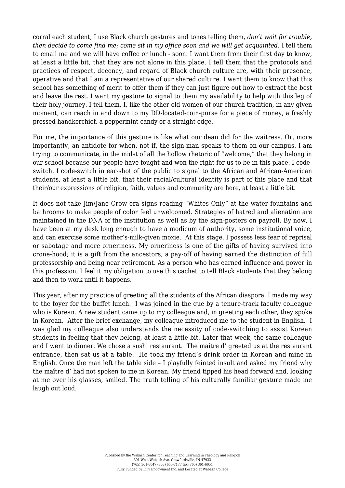corral each student, I use Black church gestures and tones telling them, *don't wait for trouble, then decide to come find me; come sit in my office soon and we will get acquainted.* I tell them to email me and we will have coffee or lunch - soon. I want them from their first day to know, at least a little bit, that they are not alone in this place. I tell them that the protocols and practices of respect, decency, and regard of Black church culture are, with their presence, operative and that I am a representative of our shared culture. I want them to know that this school has something of merit to offer them if they can just figure out how to extract the best and leave the rest. I want my gesture to signal to them my availability to help with this leg of their holy journey. I tell them, I, like the other old women of our church tradition, in any given moment, can reach in and down to my DD-located-coin-purse for a piece of money, a freshly pressed handkerchief, a peppermint candy or a straight edge.

For me, the importance of this gesture is like what our dean did for the waitress. Or, more importantly, an antidote for when, not if, the sign-man speaks to them on our campus. I am trying to communicate, in the midst of all the hollow rhetoric of "welcome," that they belong in our school because our people have fought and won the right for us to be in this place. I codeswitch. I code-switch in ear-shot of the public to signal to the African and African-American students, at least a little bit, that their racial/cultural identity is part of this place and that their/our expressions of religion, faith, values and community are here, at least a little bit.

It does not take Jim/Jane Crow era signs reading "Whites Only" at the water fountains and bathrooms to make people of color feel unwelcomed. Strategies of hatred and alienation are maintained in the DNA of the institution as well as by the sign-posters on payroll. By now, I have been at my desk long enough to have a modicum of authority, some institutional voice, and can exercise some mother's-milk-given moxie. At this stage, I possess less fear of reprisal or sabotage and more orneriness. My orneriness is one of the gifts of having survived into crone-hood; it is a gift from the ancestors, a pay-off of having earned the distinction of full professorship and being near retirement. As a person who has earned influence and power in this profession, I feel it my obligation to use this cachet to tell Black students that they belong and then to work until it happens.

This year, after my practice of greeting all the students of the African diaspora, I made my way to the foyer for the buffet lunch. I was joined in the que by a tenure-track faculty colleague who is Korean. A new student came up to my colleague and, in greeting each other, they spoke in Korean. After the brief exchange, my colleague introduced me to the student in English. I was glad my colleague also understands the necessity of code-switching to assist Korean students in feeling that they belong, at least a little bit. Later that week, the same colleague and I went to dinner. We chose a sushi restaurant. The maître d' greeted us at the restaurant entrance, then sat us at a table. He took my friend's drink order in Korean and mine in English. Once the man left the table side – I playfully feinted insult and asked my friend why the maître d' had not spoken to me in Korean. My friend tipped his head forward and, looking at me over his glasses, smiled. The truth telling of his culturally familiar gesture made me laugh out loud.